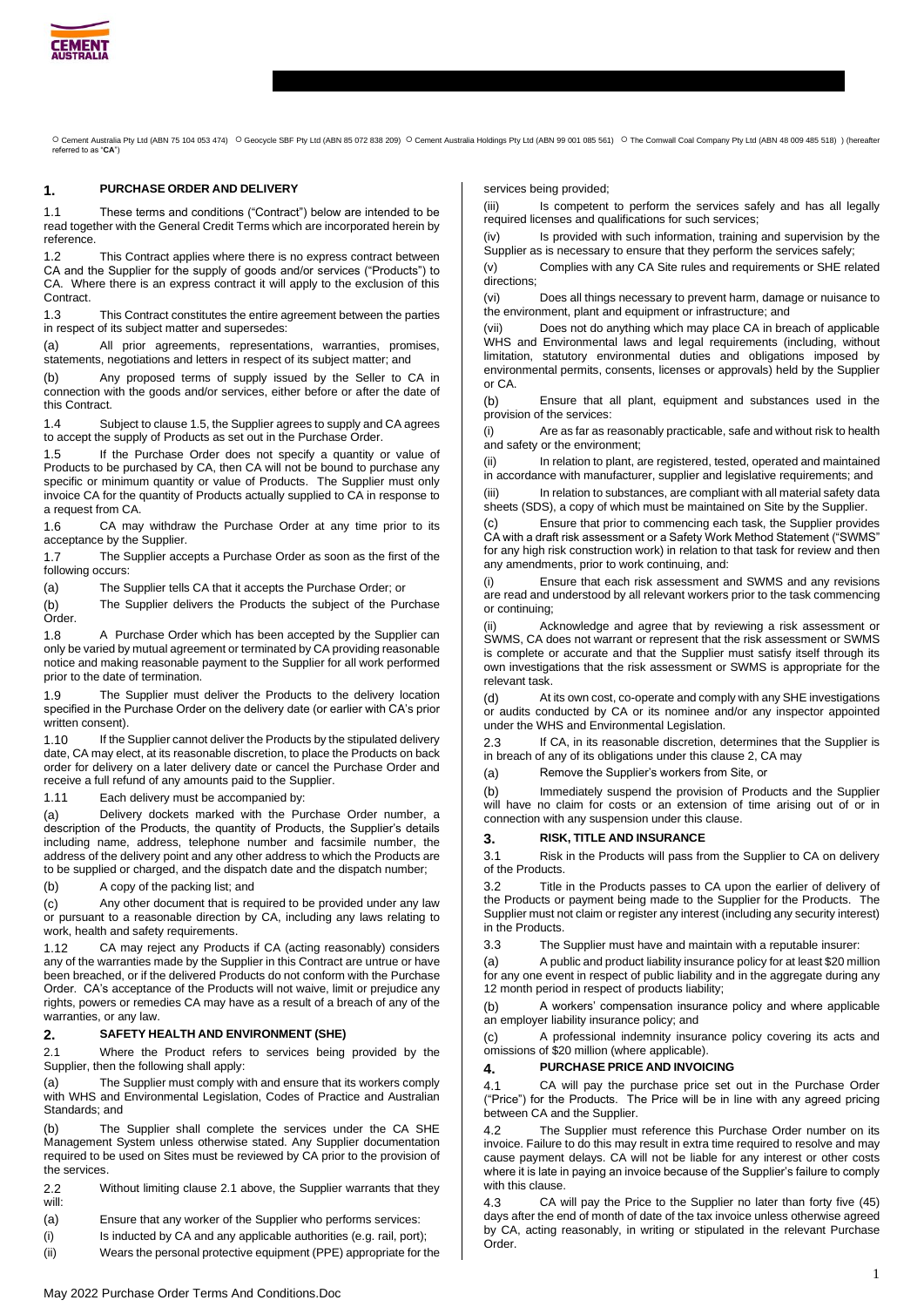

O Cement Australia Pty Ltd (ABN 75 104 053 474) O Geocycle SBF Pty Ltd (ABN 85 072 838 209) O Cement Australia Holdings Pty Ltd (ABN 99 001 085 561) O The Cornwall Coal Company Pty Ltd (ABN 48 009 485 518))(hereafter<br>refer

### **1. PURCHASE ORDER AND DELIVERY**

1.1 These terms and conditions ("Contract") below are intended to be read together with the General Credit Terms which are incorporated herein by reference.

1.2 This Contract applies where there is no express contract between CA and the Supplier for the supply of goods and/or services ("Products") to CA. Where there is an express contract it will apply to the exclusion of this Contract.

1.3 This Contract constitutes the entire agreement between the parties in respect of its subject matter and supersedes:

(a) All prior agreements, representations, warranties, promises, statements, negotiations and letters in respect of its subject matter; and

(b) Any proposed terms of supply issued by the Seller to CA in connection with the goods and/or services, either before or after the date of this Contract.

1.4 Subject to clause 1.5, the Supplier agrees to supply and CA agrees to accept the supply of Products as set out in the Purchase Order.

1.5 If the Purchase Order does not specify a quantity or value of Products to be purchased by CA, then CA will not be bound to purchase any specific or minimum quantity or value of Products. The Supplier must only invoice CA for the quantity of Products actually supplied to CA in response to a request from CA.

1.6 CA may withdraw the Purchase Order at any time prior to its acceptance by the Supplier.

1.7 The Supplier accepts a Purchase Order as soon as the first of the following occurs:

(a) The Supplier tells CA that it accepts the Purchase Order; or

(b) The Supplier delivers the Products the subject of the Purchase Order.

1.8 A Purchase Order which has been accepted by the Supplier can only be varied by mutual agreement or terminated by CA providing reasonable notice and making reasonable payment to the Supplier for all work performed prior to the date of termination.

1.9 The Supplier must deliver the Products to the delivery location specified in the Purchase Order on the delivery date (or earlier with CA's prior written consent).

1.10 If the Supplier cannot deliver the Products by the stipulated delivery date, CA may elect, at its reasonable discretion, to place the Products on back order for delivery on a later delivery date or cancel the Purchase Order and receive a full refund of any amounts paid to the Supplier.

1.11 Each delivery must be accompanied by:

(a) Delivery dockets marked with the Purchase Order number, a description of the Products, the quantity of Products, the Supplier's details including name, address, telephone number and facsimile number, the address of the delivery point and any other address to which the Products are to be supplied or charged, and the dispatch date and the dispatch number;

(b) A copy of the packing list; and

(c) Any other document that is required to be provided under any law or pursuant to a reasonable direction by CA, including any laws relating to work, health and safety requirements.

1.12 CA may reject any Products if CA (acting reasonably) considers any of the warranties made by the Supplier in this Contract are untrue or have been breached, or if the delivered Products do not conform with the Purchase Order. CA's acceptance of the Products will not waive, limit or prejudice any rights, powers or remedies CA may have as a result of a breach of any of the warranties, or any law.

### **2. SAFETY HEALTH AND ENVIRONMENT (SHE)**

2.1 Where the Product refers to services being provided by the Supplier, then the following shall apply:

(a) The Supplier must comply with and ensure that its workers comply with WHS and Environmental Legislation, Codes of Practice and Australian Standards; and

(b) The Supplier shall complete the services under the CA SHE Management System unless otherwise stated. Any Supplier documentation required to be used on Sites must be reviewed by CA prior to the provision of the services.

2.2 Without limiting clause 2.1 above, the Supplier warrants that they will:

(a) Ensure that any worker of the Supplier who performs services:

(i) Is inducted by CA and any applicable authorities (e.g. rail, port);

(ii) Wears the personal protective equipment (PPE) appropriate for the

services being provided;

(iii) Is competent to perform the services safely and has all legally required licenses and qualifications for such services;

(iv) Is provided with such information, training and supervision by the Supplier as is necessary to ensure that they perform the services safely;

(v) Complies with any CA Site rules and requirements or SHE related directions;

(vi) Does all things necessary to prevent harm, damage or nuisance to the environment, plant and equipment or infrastructure; and

(vii) Does not do anything which may place CA in breach of applicable WHS and Environmental laws and legal requirements (including, without limitation, statutory environmental duties and obligations imposed by environmental permits, consents, licenses or approvals) held by the Supplier or CA.

(b) Ensure that all plant, equipment and substances used in the provision of the services:

(i) Are as far as reasonably practicable, safe and without risk to health and safety or the environment;

(ii) In relation to plant, are registered, tested, operated and maintained in accordance with manufacturer, supplier and legislative requirements; and

(iii) In relation to substances, are compliant with all material safety data sheets (SDS), a copy of which must be maintained on Site by the Supplier.

Ensure that prior to commencing each task, the Supplier provides CA with a draft risk assessment or a Safety Work Method Statement ("SWMS" for any high risk construction work) in relation to that task for review and then any amendments, prior to work continuing, and:

(i) Ensure that each risk assessment and SWMS and any revisions are read and understood by all relevant workers prior to the task commencing or continuing;

(ii) Acknowledge and agree that by reviewing a risk assessment or SWMS, CA does not warrant or represent that the risk assessment or SWMS is complete or accurate and that the Supplier must satisfy itself through its own investigations that the risk assessment or SWMS is appropriate for the relevant task.

(d) At its own cost, co-operate and comply with any SHE investigations or audits conducted by CA or its nominee and/or any inspector appointed under the WHS and Environmental Legislation.

2.3 If CA, in its reasonable discretion, determines that the Supplier is in breach of any of its obligations under this clause 2, CA may

(a) Remove the Supplier's workers from Site, or

(b) Immediately suspend the provision of Products and the Supplier will have no claim for costs or an extension of time arising out of or in connection with any suspension under this clause.

### **3. RISK, TITLE AND INSURANCE**

3.1 Risk in the Products will pass from the Supplier to CA on delivery of the Products.

3.2 Title in the Products passes to CA upon the earlier of delivery of the Products or payment being made to the Supplier for the Products. The Supplier must not claim or register any interest (including any security interest) in the Products.

3.3 The Supplier must have and maintain with a reputable insurer:

(a) A public and product liability insurance policy for at least \$20 million for any one event in respect of public liability and in the aggregate during any 12 month period in respect of products liability;

(b) A workers' compensation insurance policy and where applicable an employer liability insurance policy; and

(c) A professional indemnity insurance policy covering its acts and omissions of \$20 million (where applicable).

## **4. PURCHASE PRICE AND INVOICING**

4.1 CA will pay the purchase price set out in the Purchase Order ("Price") for the Products. The Price will be in line with any agreed pricing between CA and the Supplier.

4.2 The Supplier must reference this Purchase Order number on its invoice. Failure to do this may result in extra time required to resolve and may cause payment delays. CA will not be liable for any interest or other costs where it is late in paying an invoice because of the Supplier's failure to comply with this clause.

4.3 CA will pay the Price to the Supplier no later than forty five (45) days after the end of month of date of the tax invoice unless otherwise agreed by CA, acting reasonably, in writing or stipulated in the relevant Purchase Order.